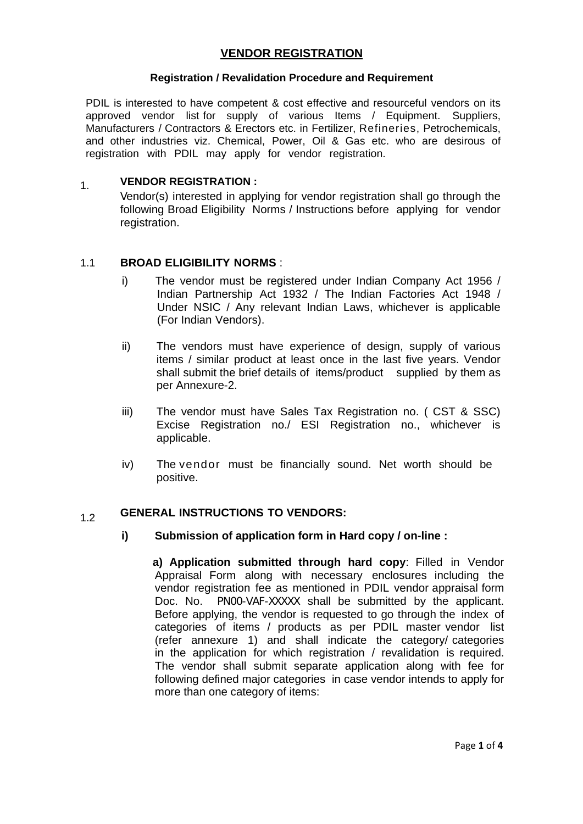# **VENDOR REGISTRATION**

#### **Registration / Revalidation Procedure and Requirement**

PDIL is interested to have competent & cost effective and resourceful vendors on its approved vendor list for supply of various Items / Equipment. Suppliers, Manufacturers / Contractors & Erectors etc. in Fertilizer, Refineries, Petrochemicals, and other industries viz. Chemical, Power, Oil & Gas etc. who are desirous of registration with PDIL may apply for vendor registration.

## 1. **VENDOR REGISTRATION :**

Vendor(s) interested in applying for vendor registration shall go through the following Broad Eligibility Norms / Instructions before applying for vendor registration.

### 1.1 **BROAD ELIGIBILITY NORMS** :

- i) The vendor must be registered under Indian Company Act 1956 / Indian Partnership Act 1932 / The Indian Factories Act 1948 / Under NSIC / Any relevant Indian Laws, whichever is applicable (For Indian Vendors).
- ii) The vendors must have experience of design, supply of various items / similar product at least once in the last five years. Vendor shall submit the brief details of items/product supplied by them as per Annexure-2.
- iii) The vendor must have Sales Tax Registration no. ( CST & SSC) Excise Registration no./ ESI Registration no., whichever is applicable.
- iv) The vendor must be financially sound. Net worth should be positive.

# 1.2 **GENERAL INSTRUCTIONS TO VENDORS:**

### **i) Submission of application form in Hard copy / on-line :**

 **a) Application submitted through hard copy**: Filled in Vendor Appraisal Form along with necessary enclosures including the vendor registration fee as mentioned in PDIL vendor appraisal form Doc. No. PN00-VAF-XXXXX shall be submitted by the applicant. Before applying, the vendor is requested to go through the index of categories of items / products as per PDIL master vendor list (refer annexure 1) and shall indicate the category/ categories in the application for which registration / revalidation is required. The vendor shall submit separate application along with fee for following defined major categories in case vendor intends to apply for more than one category of items: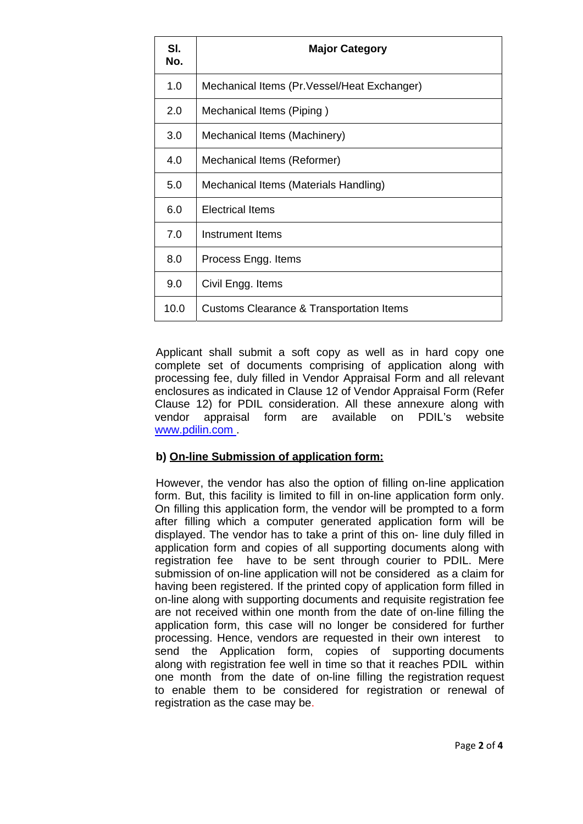| SI.<br>No. | <b>Major Category</b>                               |
|------------|-----------------------------------------------------|
| 1.0        | Mechanical Items (Pr. Vessel/Heat Exchanger)        |
| 2.0        | Mechanical Items (Piping)                           |
| 3.0        | Mechanical Items (Machinery)                        |
| 4.0        | Mechanical Items (Reformer)                         |
| 5.0        | Mechanical Items (Materials Handling)               |
| 6.0        | <b>Electrical Items</b>                             |
| 7.0        | Instrument Items                                    |
| 8.0        | Process Engg. Items                                 |
| 9.0        | Civil Engg. Items                                   |
| 10.0       | <b>Customs Clearance &amp; Transportation Items</b> |

Applicant shall submit a soft copy as well as in hard copy one complete set of documents comprising of application along with processing fee, duly filled in Vendor Appraisal Form and all relevant enclosures as indicated in Clause 12 of Vendor Appraisal Form (Refer Clause 12) for PDIL consideration. All these annexure along with vendor appraisal form are available on PDIL's website www.pdilin.com .

# **b) On-line Submission of application form:**

However, the vendor has also the option of filling on-line application form. But, this facility is limited to fill in on-line application form only. On filling this application form, the vendor will be prompted to a form after filling which a computer generated application form will be displayed. The vendor has to take a print of this on- line duly filled in application form and copies of all supporting documents along with registration fee have to be sent through courier to PDIL. Mere submission of on-line application will not be considered as a claim for having been registered. If the printed copy of application form filled in on-line along with supporting documents and requisite registration fee are not received within one month from the date of on-line filling the application form, this case will no longer be considered for further processing. Hence, vendors are requested in their own interest to send the Application form, copies of supporting documents along with registration fee well in time so that it reaches PDIL within one month from the date of on-line filling the registration request to enable them to be considered for registration or renewal of registration as the case may be.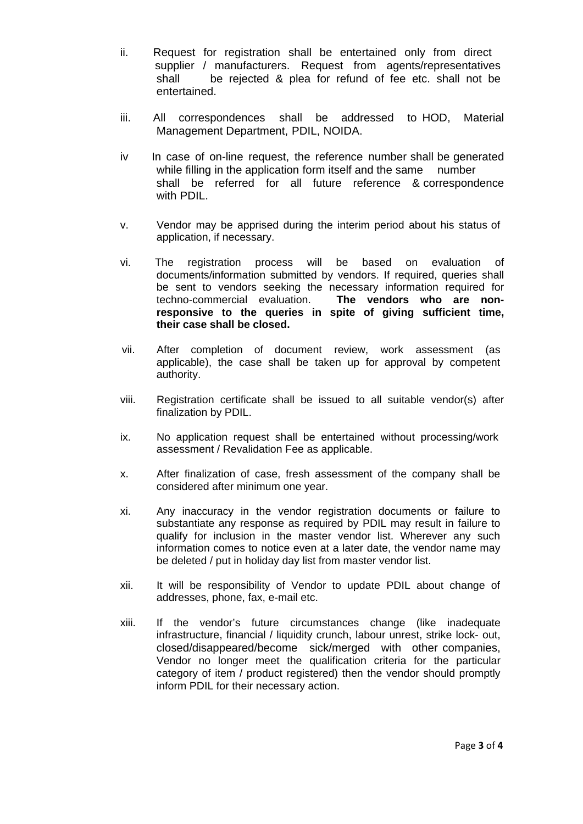- ii. Request for registration shall be entertained only from direct supplier / manufacturers. Request from agents/representatives shall be rejected & plea for refund of fee etc. shall not be entertained.
- iii. All correspondences shall be addressed to HOD, Material Management Department, PDIL, NOIDA.
- iv In case of on-line request, the reference number shall be generated while filling in the application form itself and the same number shall be referred for all future reference & correspondence with PDIL.
- v. Vendor may be apprised during the interim period about his status of application, if necessary.
- vi. The registration process will be based on evaluation of documents/information submitted by vendors. If required, queries shall be sent to vendors seeking the necessary information required for techno-commercial evaluation. **The vendors who are nonresponsive to the queries in spite of giving sufficient time, their case shall be closed.**
- vii. After completion of document review, work assessment (as applicable), the case shall be taken up for approval by competent authority.
- viii. Registration certificate shall be issued to all suitable vendor(s) after finalization by PDIL.
- ix. No application request shall be entertained without processing/work assessment / Revalidation Fee as applicable.
- x. After finalization of case, fresh assessment of the company shall be considered after minimum one year.
- xi. Any inaccuracy in the vendor registration documents or failure to substantiate any response as required by PDIL may result in failure to qualify for inclusion in the master vendor list. Wherever any such information comes to notice even at a later date, the vendor name may be deleted / put in holiday day list from master vendor list.
- xii. It will be responsibility of Vendor to update PDIL about change of addresses, phone, fax, e-mail etc.
- xiii. If the vendor's future circumstances change (like inadequate infrastructure, financial / liquidity crunch, labour unrest, strike lock- out, closed/disappeared/become sick/merged with other companies, Vendor no longer meet the qualification criteria for the particular category of item / product registered) then the vendor should promptly inform PDIL for their necessary action.